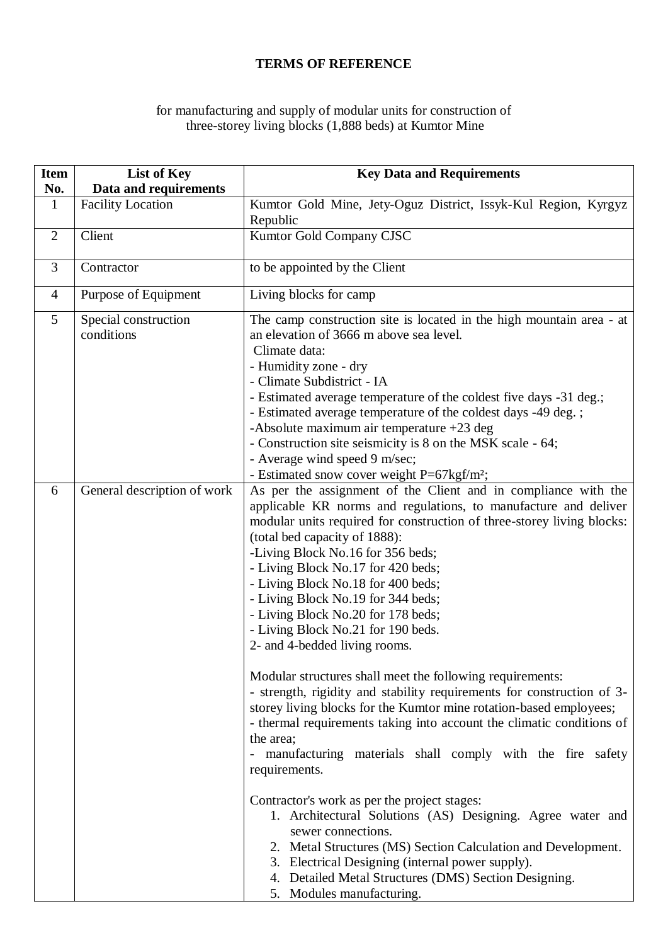## **TERMS OF REFERENCE**

## for manufacturing and supply of modular units for construction of three-storey living blocks (1,888 beds) at Kumtor Mine

| <b>Item</b><br>No. | List of Key<br>Data and requirements | <b>Key Data and Requirements</b>                                                                                                                                                                                                                                                                                                                                                                                                                                                                                                                                                                                                                                                                                                                                                                                                                                                                                                                                                                                                                                                                                                                                                                                                                   |
|--------------------|--------------------------------------|----------------------------------------------------------------------------------------------------------------------------------------------------------------------------------------------------------------------------------------------------------------------------------------------------------------------------------------------------------------------------------------------------------------------------------------------------------------------------------------------------------------------------------------------------------------------------------------------------------------------------------------------------------------------------------------------------------------------------------------------------------------------------------------------------------------------------------------------------------------------------------------------------------------------------------------------------------------------------------------------------------------------------------------------------------------------------------------------------------------------------------------------------------------------------------------------------------------------------------------------------|
| $\mathbf{1}$       | <b>Facility Location</b>             | Kumtor Gold Mine, Jety-Oguz District, Issyk-Kul Region, Kyrgyz<br>Republic                                                                                                                                                                                                                                                                                                                                                                                                                                                                                                                                                                                                                                                                                                                                                                                                                                                                                                                                                                                                                                                                                                                                                                         |
| $\overline{2}$     | Client                               | Kumtor Gold Company CJSC                                                                                                                                                                                                                                                                                                                                                                                                                                                                                                                                                                                                                                                                                                                                                                                                                                                                                                                                                                                                                                                                                                                                                                                                                           |
| 3                  | Contractor                           | to be appointed by the Client                                                                                                                                                                                                                                                                                                                                                                                                                                                                                                                                                                                                                                                                                                                                                                                                                                                                                                                                                                                                                                                                                                                                                                                                                      |
| $\overline{4}$     | Purpose of Equipment                 | Living blocks for camp                                                                                                                                                                                                                                                                                                                                                                                                                                                                                                                                                                                                                                                                                                                                                                                                                                                                                                                                                                                                                                                                                                                                                                                                                             |
| 5                  | Special construction<br>conditions   | The camp construction site is located in the high mountain area - at<br>an elevation of 3666 m above sea level.<br>Climate data:<br>- Humidity zone - dry<br>- Climate Subdistrict - IA<br>- Estimated average temperature of the coldest five days -31 deg.;<br>- Estimated average temperature of the coldest days -49 deg.;<br>-Absolute maximum air temperature +23 deg<br>- Construction site seismicity is 8 on the MSK scale - 64;<br>- Average wind speed 9 m/sec;<br>- Estimated snow cover weight P=67kgf/m <sup>2</sup> ;                                                                                                                                                                                                                                                                                                                                                                                                                                                                                                                                                                                                                                                                                                               |
| 6                  | General description of work          | As per the assignment of the Client and in compliance with the<br>applicable KR norms and regulations, to manufacture and deliver<br>modular units required for construction of three-storey living blocks:<br>(total bed capacity of 1888):<br>-Living Block No.16 for 356 beds;<br>- Living Block No.17 for 420 beds;<br>- Living Block No.18 for 400 beds;<br>- Living Block No.19 for 344 beds;<br>- Living Block No.20 for 178 beds;<br>- Living Block No.21 for 190 beds.<br>2- and 4-bedded living rooms.<br>Modular structures shall meet the following requirements:<br>- strength, rigidity and stability requirements for construction of 3-<br>storey living blocks for the Kumtor mine rotation-based employees;<br>- thermal requirements taking into account the climatic conditions of<br>the area;<br>- manufacturing materials shall comply with the fire safety<br>requirements.<br>Contractor's work as per the project stages:<br>1. Architectural Solutions (AS) Designing. Agree water and<br>sewer connections.<br>2. Metal Structures (MS) Section Calculation and Development.<br>3. Electrical Designing (internal power supply).<br>4. Detailed Metal Structures (DMS) Section Designing.<br>5. Modules manufacturing. |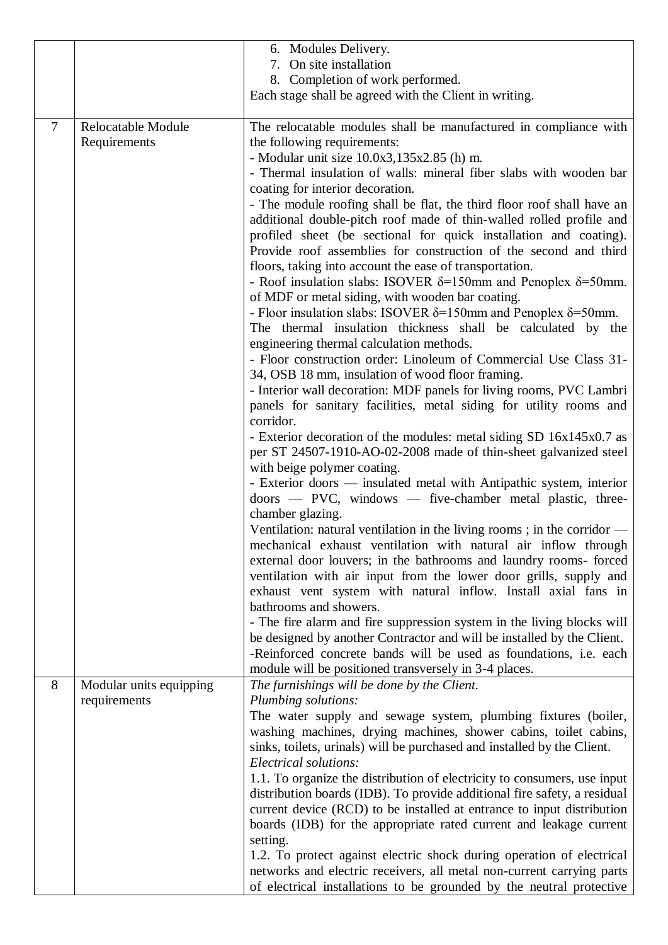|        |                         | 6. Modules Delivery.                                                          |
|--------|-------------------------|-------------------------------------------------------------------------------|
|        |                         | 7. On site installation                                                       |
|        |                         | 8. Completion of work performed.                                              |
|        |                         | Each stage shall be agreed with the Client in writing.                        |
|        |                         |                                                                               |
| $\tau$ | Relocatable Module      | The relocatable modules shall be manufactured in compliance with              |
|        | Requirements            | the following requirements:                                                   |
|        |                         | - Modular unit size $10.0x3,135x2.85$ (h) m.                                  |
|        |                         | - Thermal insulation of walls: mineral fiber slabs with wooden bar            |
|        |                         | coating for interior decoration.                                              |
|        |                         | - The module roofing shall be flat, the third floor roof shall have an        |
|        |                         | additional double-pitch roof made of thin-walled rolled profile and           |
|        |                         | profiled sheet (be sectional for quick installation and coating).             |
|        |                         | Provide roof assemblies for construction of the second and third              |
|        |                         | floors, taking into account the ease of transportation.                       |
|        |                         | - Roof insulation slabs: ISOVER $\delta$ =150mm and Penoplex $\delta$ =50mm.  |
|        |                         | of MDF or metal siding, with wooden bar coating.                              |
|        |                         | - Floor insulation slabs: ISOVER $\delta$ =150mm and Penoplex $\delta$ =50mm. |
|        |                         | The thermal insulation thickness shall be calculated by the                   |
|        |                         | engineering thermal calculation methods.                                      |
|        |                         | - Floor construction order: Linoleum of Commercial Use Class 31-              |
|        |                         | 34, OSB 18 mm, insulation of wood floor framing.                              |
|        |                         | - Interior wall decoration: MDF panels for living rooms, PVC Lambri           |
|        |                         | panels for sanitary facilities, metal siding for utility rooms and            |
|        |                         | corridor.                                                                     |
|        |                         | - Exterior decoration of the modules: metal siding SD 16x145x0.7 as           |
|        |                         | per ST 24507-1910-AO-02-2008 made of thin-sheet galvanized steel              |
|        |                         | with beige polymer coating.                                                   |
|        |                         | - Exterior doors — insulated metal with Antipathic system, interior           |
|        |                         | $\text{doors}$ - PVC, windows - five-chamber metal plastic, three-            |
|        |                         | chamber glazing.                                                              |
|        |                         | Ventilation: natural ventilation in the living rooms; in the corridor $-$     |
|        |                         | mechanical exhaust ventilation with natural air inflow through                |
|        |                         | external door louvers; in the bathrooms and laundry rooms- forced             |
|        |                         | ventilation with air input from the lower door grills, supply and             |
|        |                         | exhaust vent system with natural inflow. Install axial fans in                |
|        |                         | bathrooms and showers.                                                        |
|        |                         | - The fire alarm and fire suppression system in the living blocks will        |
|        |                         | be designed by another Contractor and will be installed by the Client.        |
|        |                         | -Reinforced concrete bands will be used as foundations, i.e. each             |
|        |                         | module will be positioned transversely in 3-4 places.                         |
| 8      | Modular units equipping | The furnishings will be done by the Client.                                   |
|        | requirements            | Plumbing solutions:                                                           |
|        |                         | The water supply and sewage system, plumbing fixtures (boiler,                |
|        |                         | washing machines, drying machines, shower cabins, toilet cabins,              |
|        |                         | sinks, toilets, urinals) will be purchased and installed by the Client.       |
|        |                         | Electrical solutions:                                                         |
|        |                         | 1.1. To organize the distribution of electricity to consumers, use input      |
|        |                         | distribution boards (IDB). To provide additional fire safety, a residual      |
|        |                         | current device (RCD) to be installed at entrance to input distribution        |
|        |                         | boards (IDB) for the appropriate rated current and leakage current            |
|        |                         | setting.                                                                      |
|        |                         | 1.2. To protect against electric shock during operation of electrical         |
|        |                         | networks and electric receivers, all metal non-current carrying parts         |
|        |                         | of electrical installations to be grounded by the neutral protective          |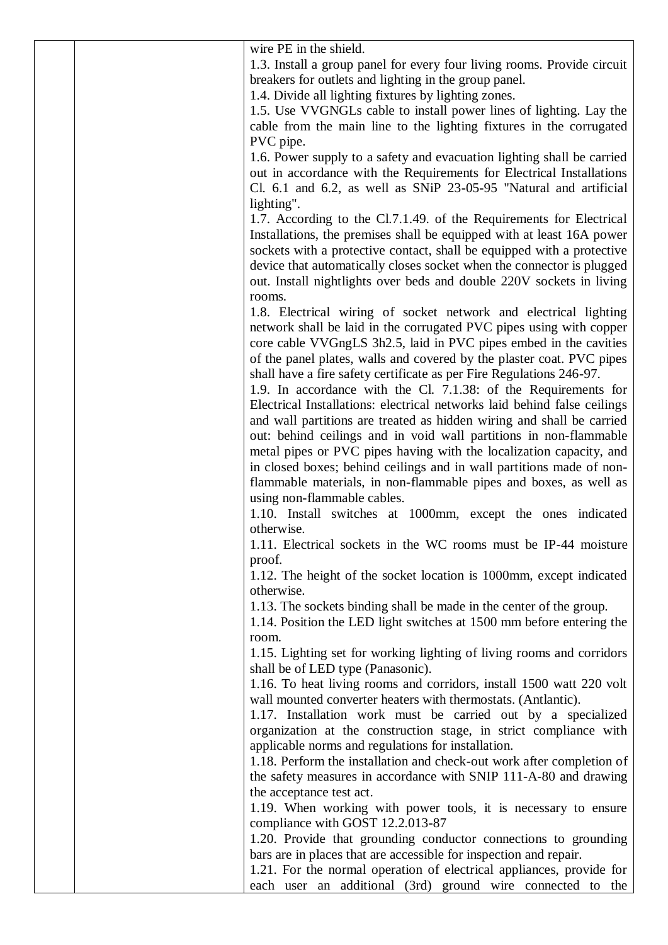| wire PE in the shield.                                                   |
|--------------------------------------------------------------------------|
| 1.3. Install a group panel for every four living rooms. Provide circuit  |
| breakers for outlets and lighting in the group panel.                    |
| 1.4. Divide all lighting fixtures by lighting zones.                     |
| 1.5. Use VVGNGLs cable to install power lines of lighting. Lay the       |
| cable from the main line to the lighting fixtures in the corrugated      |
| PVC pipe.                                                                |
| 1.6. Power supply to a safety and evacuation lighting shall be carried   |
| out in accordance with the Requirements for Electrical Installations     |
| Cl. 6.1 and 6.2, as well as SNiP 23-05-95 "Natural and artificial        |
|                                                                          |
| lighting".                                                               |
| 1.7. According to the Cl.7.1.49. of the Requirements for Electrical      |
| Installations, the premises shall be equipped with at least 16A power    |
| sockets with a protective contact, shall be equipped with a protective   |
| device that automatically closes socket when the connector is plugged    |
| out. Install nightlights over beds and double 220V sockets in living     |
| rooms.                                                                   |
| 1.8. Electrical wiring of socket network and electrical lighting         |
| network shall be laid in the corrugated PVC pipes using with copper      |
| core cable VVGngLS 3h2.5, laid in PVC pipes embed in the cavities        |
| of the panel plates, walls and covered by the plaster coat. PVC pipes    |
| shall have a fire safety certificate as per Fire Regulations 246-97.     |
|                                                                          |
| 1.9. In accordance with the Cl. 7.1.38: of the Requirements for          |
| Electrical Installations: electrical networks laid behind false ceilings |
| and wall partitions are treated as hidden wiring and shall be carried    |
| out: behind ceilings and in void wall partitions in non-flammable        |
| metal pipes or PVC pipes having with the localization capacity, and      |
| in closed boxes; behind ceilings and in wall partitions made of non-     |
| flammable materials, in non-flammable pipes and boxes, as well as        |
| using non-flammable cables.                                              |
| 1.10. Install switches at 1000mm, except the ones indicated              |
| otherwise.                                                               |
| 1.11. Electrical sockets in the WC rooms must be IP-44 moisture          |
| proof.                                                                   |
| 1.12. The height of the socket location is 1000mm, except indicated      |
| otherwise.                                                               |
|                                                                          |
| 1.13. The sockets binding shall be made in the center of the group.      |
| 1.14. Position the LED light switches at 1500 mm before entering the     |
| room.                                                                    |
| 1.15. Lighting set for working lighting of living rooms and corridors    |
| shall be of LED type (Panasonic).                                        |
| 1.16. To heat living rooms and corridors, install 1500 watt 220 volt     |
| wall mounted converter heaters with thermostats. (Antlantic).            |
| 1.17. Installation work must be carried out by a specialized             |
| organization at the construction stage, in strict compliance with        |
| applicable norms and regulations for installation.                       |
| 1.18. Perform the installation and check-out work after completion of    |
| the safety measures in accordance with SNIP 111-A-80 and drawing         |
| the acceptance test act.                                                 |
|                                                                          |
| 1.19. When working with power tools, it is necessary to ensure           |
| compliance with GOST 12.2.013-87                                         |
| 1.20. Provide that grounding conductor connections to grounding          |
| bars are in places that are accessible for inspection and repair.        |
| 1.21. For the normal operation of electrical appliances, provide for     |
| each user an additional (3rd) ground wire connected to the               |